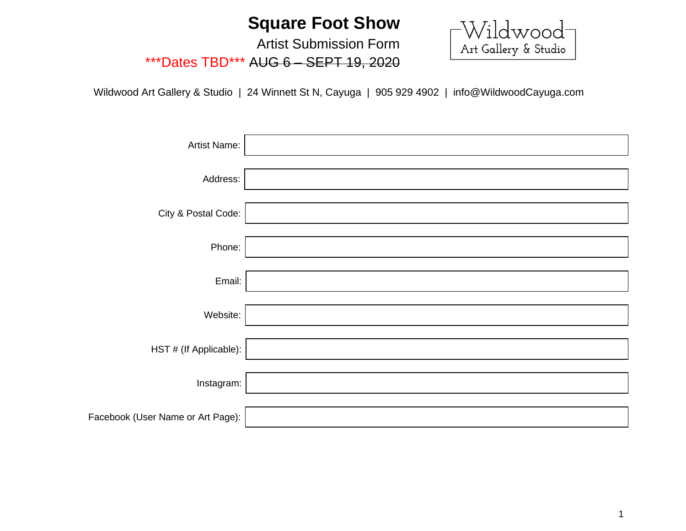## **Square Foot Show**

 $\begin{bmatrix} \text{Wildwood} \ \text{Art Gallery & Studio} \end{bmatrix}$ 

Artist Submission Form \*\*\*Dates TBD\*\*\* AUG 6 – SEPT 19, 2020

Wildwood Art Gallery & Studio | 24 Winnett St N, Cayuga | 905 929 4902 | info@WildwoodCayuga.com

| Artist Name:                      |  |
|-----------------------------------|--|
| Address:                          |  |
| City & Postal Code:               |  |
| Phone:                            |  |
| Email:                            |  |
| Website:                          |  |
| HST # (If Applicable):            |  |
| Instagram:                        |  |
| Facebook (User Name or Art Page): |  |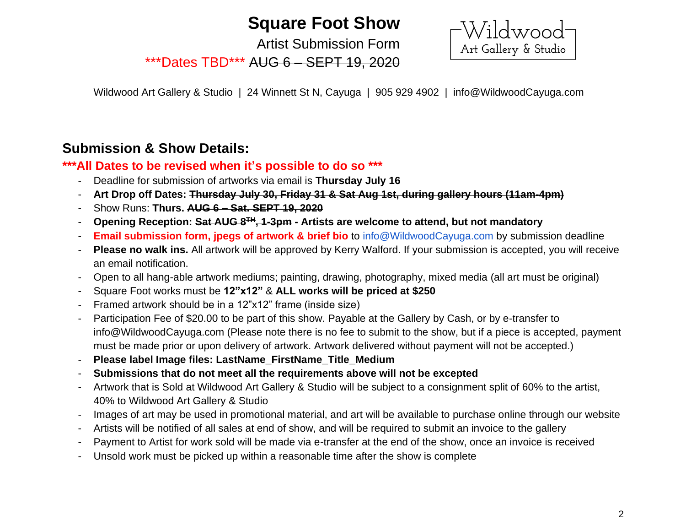# **Square Foot Show**

Artist Submission Form

\*\*\*Dates TBD\*\*\* AUG 6 – SEPT 19, 2020

Wildwood<br>Art Gallery & Studio

Wildwood Art Gallery & Studio | 24 Winnett St N, Cayuga | 905 929 4902 | info@WildwoodCayuga.com

### **Submission & Show Details:**

#### **\*\*\*All Dates to be revised when it's possible to do so \*\*\***

- Deadline for submission of artworks via email is **Thursday July 16**
- **Art Drop off Dates: Thursday July 30, Friday 31 & Sat Aug 1st, during gallery hours (11am-4pm)**
- Show Runs: **Thurs. AUG 6 – Sat. SEPT 19, 2020**
- **Opening Reception: Sat AUG 8TH, 1-3pm - Artists are welcome to attend, but not mandatory**
- **Email submission form, jpegs of artwork & brief bio** to [info@WildwoodCayuga.com](mailto:info@WildwoodCayuga.com) by submission deadline
- **Please no walk ins.** All artwork will be approved by Kerry Walford. If your submission is accepted, you will receive an email notification.
- Open to all hang-able artwork mediums; painting, drawing, photography, mixed media (all art must be original)
- Square Foot works must be **12"x12"** & **ALL works will be priced at \$250**
- Framed artwork should be in a 12"x12" frame (inside size)
- Participation Fee of \$20.00 to be part of this show. Payable at the Gallery by Cash, or by e-transfer to info@WildwoodCayuga.com (Please note there is no fee to submit to the show, but if a piece is accepted, payment must be made prior or upon delivery of artwork. Artwork delivered without payment will not be accepted.)
- **Please label Image files: LastName\_FirstName\_Title\_Medium**
- **Submissions that do not meet all the requirements above will not be excepted**
- Artwork that is Sold at Wildwood Art Gallery & Studio will be subject to a consignment split of 60% to the artist, 40% to Wildwood Art Gallery & Studio
- Images of art may be used in promotional material, and art will be available to purchase online through our website
- Artists will be notified of all sales at end of show, and will be required to submit an invoice to the gallery
- Payment to Artist for work sold will be made via e-transfer at the end of the show, once an invoice is received
- Unsold work must be picked up within a reasonable time after the show is complete